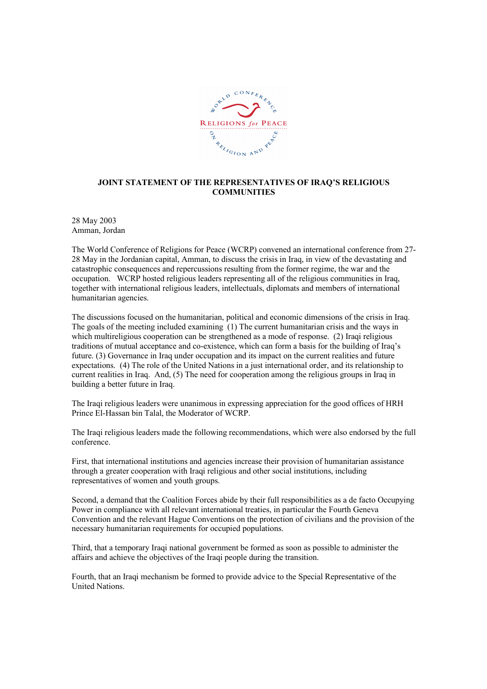

## JOINT STATEMENT OF THE REPRESENTATIVES OF IRAQ'S RELIGIOUS **COMMUNITIES**

28 May 2003 Amman, Jordan

The World Conference of Religions for Peace (WCRP) convened an international conference from 27- 28 May in the Jordanian capital, Amman, to discuss the crisis in Iraq, in view of the devastating and catastrophic consequences and repercussions resulting from the former regime, the war and the occupation. WCRP hosted religious leaders representing all of the religious communities in Iraq, together with international religious leaders, intellectuals, diplomats and members of international humanitarian agencies.

The discussions focused on the humanitarian, political and economic dimensions of the crisis in Iraq. The goals of the meeting included examining (1) The current humanitarian crisis and the ways in which multireligious cooperation can be strengthened as a mode of response. (2) Iraqi religious traditions of mutual acceptance and co-existence, which can form a basis for the building of Iraq's future. (3) Governance in Iraq under occupation and its impact on the current realities and future expectations. (4) The role of the United Nations in a just international order, and its relationship to current realities in Iraq. And, (5) The need for cooperation among the religious groups in Iraq in building a better future in Iraq.

The Iraqi religious leaders were unanimous in expressing appreciation for the good offices of HRH Prince El-Hassan bin Talal, the Moderator of WCRP.

The Iraqi religious leaders made the following recommendations, which were also endorsed by the full conference.

First, that international institutions and agencies increase their provision of humanitarian assistance through a greater cooperation with Iraqi religious and other social institutions, including representatives of women and youth groups.

Second, a demand that the Coalition Forces abide by their full responsibilities as a de facto Occupying Power in compliance with all relevant international treaties, in particular the Fourth Geneva Convention and the relevant Hague Conventions on the protection of civilians and the provision of the necessary humanitarian requirements for occupied populations.

Third, that a temporary Iraqi national government be formed as soon as possible to administer the affairs and achieve the objectives of the Iraqi people during the transition.

Fourth, that an Iraqi mechanism be formed to provide advice to the Special Representative of the United Nations.